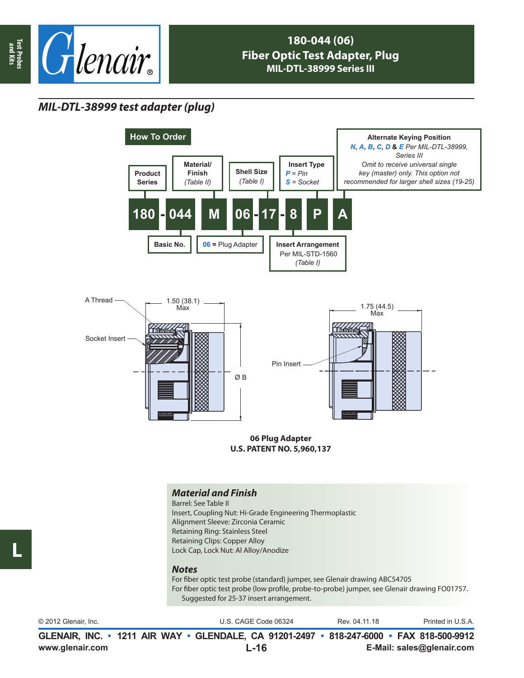

## **180-044 (06) Fiber Optic Test Adapter, Plug MIL-DTL-38999 Series III**

## *MIL-DTL-38999 test adapter (plug)*





**06 Plug Adapter U.S. PATENT NO. 5,960,137**

### *Material and Finish*

Barrel: See Table II Insert, Coupling Nut: Hi-Grade Engineering Thermoplastic Alignment Sleeve: Zirconia Ceramic Retaining Ring: Stainless Steel Retaining Clips: Copper Alloy Lock Cap, Lock Nut: Al Alloy/Anodize

#### *Notes*

For fiber optic test probe (standard) jumper, see Glenair drawing ABC54705 For fiber optic test probe (low profile, probe-to-probe) jumper, see Glenair drawing FO01757. Suggested for 25-37 insert arrangement.

| © 2012 Glenair, Inc. | U.S. CAGE Code 06324                                                                     | Rev. 04.11.18 | Printed in U.S.A. |
|----------------------|------------------------------------------------------------------------------------------|---------------|-------------------|
|                      | GLENAIR, INC. • 1211 AIR WAY • GLENDALE, CA 91201-2497 • 818-247-6000 • FAX 818-500-9912 |               |                   |

**L**

**L-16**

**www.glenair.com E-Mail: sales@glenair.com**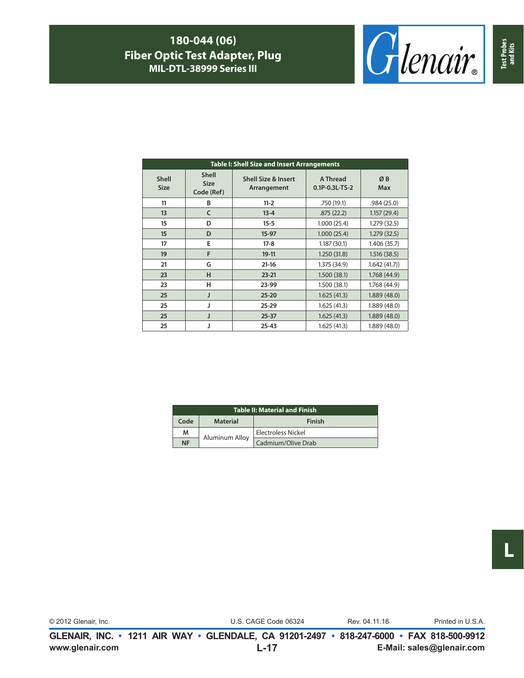## **180-044 (06) Fiber Optic Test Adapter, Plug MIL-DTL-38999 Series III**



|                             | <b>Table I: Shell Size and Insert Arrangements</b> |                                               |                            |                  |  |  |
|-----------------------------|----------------------------------------------------|-----------------------------------------------|----------------------------|------------------|--|--|
| <b>Shell</b><br><b>Size</b> | <b>Shell</b><br><b>Size</b><br>Code (Ref)          | <b>Shell Size &amp; Insert</b><br>Arrangement | A Thread<br>0.1P-0.3L-TS-2 | ØB<br><b>Max</b> |  |  |
| 11                          | B                                                  | $11 - 2$                                      | .750 (19.1)                | .984(25.0)       |  |  |
| 13                          | C                                                  | $13 - 4$                                      | .875(22.2)                 | 1.157(29.4)      |  |  |
| 15                          | D                                                  | $15 - 5$                                      | 1.000(25.4)                | 1.279(32.5)      |  |  |
| 15                          | D                                                  | $15-97$                                       | 1.000(25.4)                | 1.279(32.5)      |  |  |
| 17                          | E                                                  | $17-8$                                        | 1.187(30.1)                | 1.406 (35.7)     |  |  |
| 19                          | F                                                  | $19-11$                                       | 1.250(31.8)                | 1.516(38.5)      |  |  |
| 21                          | G                                                  | $21 - 16$                                     | 1.375 (34.9)               | 1.642(41.7)      |  |  |
| 23                          | н                                                  | $23 - 21$                                     | 1.500(38.1)                | 1.768 (44.9)     |  |  |
| 23                          | н                                                  | 23-99                                         | 1.500 (38.1)               | 1.768 (44.9)     |  |  |
| 25                          | J                                                  | $25 - 20$                                     | 1.625(41.3)                | 1.889(48.0)      |  |  |
| 25                          |                                                    | $25 - 29$                                     | 1.625(41.3)                | 1.889(48.0)      |  |  |
| 25                          |                                                    | $25 - 37$                                     | 1.625(41.3)                | 1.889(48.0)      |  |  |
| 25                          |                                                    | $25 - 43$                                     | 1.625(41.3)                | 1.889 (48.0)     |  |  |

| <b>Table II: Material and Finish</b> |                 |                    |  |  |
|--------------------------------------|-----------------|--------------------|--|--|
| Code                                 | <b>Material</b> | Finish             |  |  |
| м                                    | Aluminum Alloy  | Electroless Nickel |  |  |
| <b>NF</b>                            |                 | Cadmium/Olive Drab |  |  |

© 2012 Glenair, Inc. U.S. CAGE Code 06324 Printed in U.S.A.

Rev. 04.11.18

**www.glenair.com E-Mail: sales@glenair.com GLENAIR, INC. • 1211 AIR WAY • GLENDALE, CA 91201-2497 • 818-247-6000 • FAX 818-500-9912 L-17**